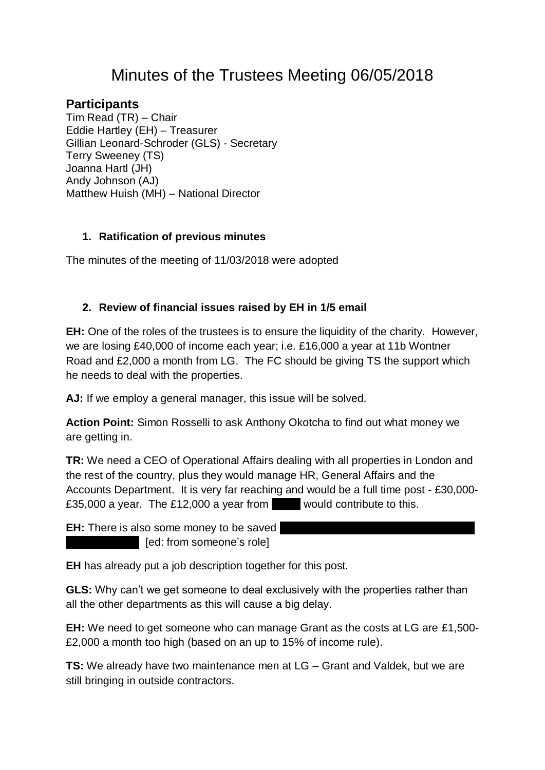# Minutes of the Trustees Meeting 06/05/2018

## **Participants**

Tim Read (TR) – Chair Eddie Hartley (EH) – Treasurer Gillian Leonard-Schroder (GLS) - Secretary Terry Sweeney (TS) Joanna Hartl (JH) Andy Johnson (AJ) Matthew Huish (MH) – National Director

#### **1. Ratification of previous minutes**

The minutes of the meeting of 11/03/2018 were adopted

#### **2. Review of financial issues raised by EH in 1/5 email**

**EH:** One of the roles of the trustees is to ensure the liquidity of the charity.However, we are losing £40,000 of income each year; i.e. £16,000 a year at 11b Wontner Road and £2,000 a month from LG. The FC should be giving TS the support which he needs to deal with the properties.

**AJ:** If we employ a general manager, this issue will be solved.

**Action Point:** Simon Rosselli to ask Anthony Okotcha to find out what money we are getting in.

**TR:** We need a CEO of Operational Affairs dealing with all properties in London and the rest of the country, plus they would manage HR, General Affairs and the Accounts Department. It is very far reaching and would be a full time post - £30,000- £35,000 a year. The £12,000 a year from would contribute to this.

**EH:** There is also some money to be saved [ed: from someone's role]

**EH** has already put a job description together for this post.

**GLS:** Why can't we get someone to deal exclusively with the properties rather than all the other departments as this will cause a big delay.

**EH:** We need to get someone who can manage Grant as the costs at LG are £1,500- £2,000 a month too high (based on an up to 15% of income rule).

**TS:** We already have two maintenance men at LG – Grant and Valdek, but we are still bringing in outside contractors.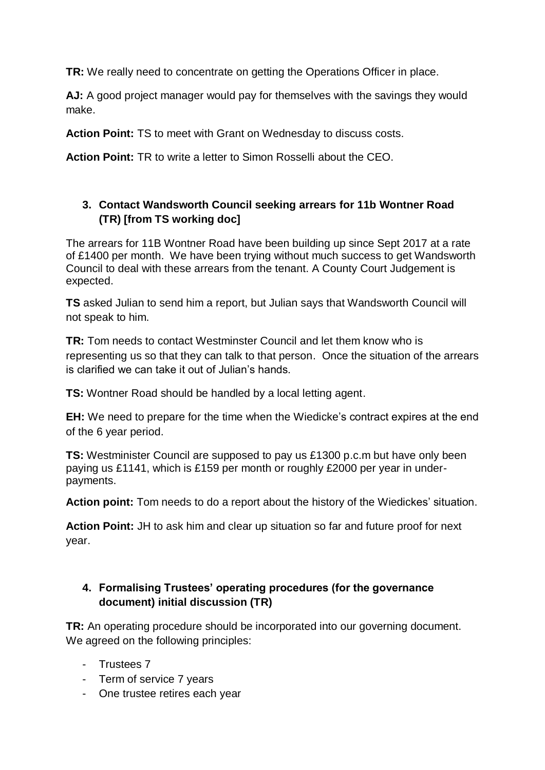**TR:** We really need to concentrate on getting the Operations Officer in place.

**AJ:** A good project manager would pay for themselves with the savings they would make.

**Action Point:** TS to meet with Grant on Wednesday to discuss costs.

**Action Point:** TR to write a letter to Simon Rosselli about the CEO.

## **3. Contact Wandsworth Council seeking arrears for 11b Wontner Road (TR) [from TS working doc]**

The arrears for 11B Wontner Road have been building up since Sept 2017 at a rate of £1400 per month. We have been trying without much success to get Wandsworth Council to deal with these arrears from the tenant. A County Court Judgement is expected.

**TS** asked Julian to send him a report, but Julian says that Wandsworth Council will not speak to him.

**TR:** Tom needs to contact Westminster Council and let them know who is representing us so that they can talk to that person. Once the situation of the arrears is clarified we can take it out of Julian's hands.

**TS:** Wontner Road should be handled by a local letting agent.

**EH:** We need to prepare for the time when the Wiedicke's contract expires at the end of the 6 year period.

**TS:** Westminister Council are supposed to pay us £1300 p.c.m but have only been paying us £1141, which is £159 per month or roughly £2000 per year in underpayments.

**Action point:** Tom needs to do a report about the history of the Wiedickes' situation.

**Action Point:** JH to ask him and clear up situation so far and future proof for next year.

## **4. Formalising Trustees' operating procedures (for the governance document) initial discussion (TR)**

**TR:** An operating procedure should be incorporated into our governing document. We agreed on the following principles:

- Trustees 7
- Term of service 7 years
- One trustee retires each year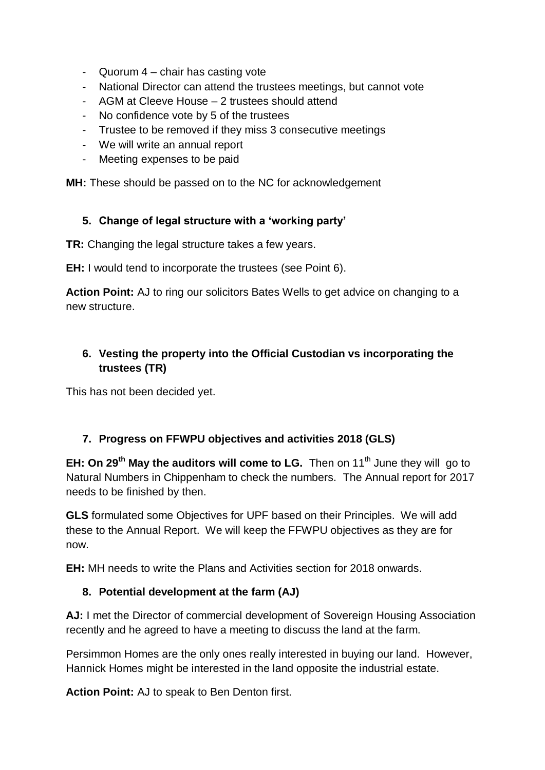- Quorum 4 chair has casting vote
- National Director can attend the trustees meetings, but cannot vote
- AGM at Cleeve House 2 trustees should attend
- No confidence vote by 5 of the trustees
- Trustee to be removed if they miss 3 consecutive meetings
- We will write an annual report
- Meeting expenses to be paid

**MH:** These should be passed on to the NC for acknowledgement

#### **5. Change of legal structure with a 'working party'**

**TR:** Changing the legal structure takes a few years.

**EH:** I would tend to incorporate the trustees (see Point 6).

**Action Point:** AJ to ring our solicitors Bates Wells to get advice on changing to a new structure.

#### **6. Vesting the property into the Official Custodian vs incorporating the trustees (TR)**

This has not been decided yet.

#### **7. Progress on FFWPU objectives and activities 2018 (GLS)**

**EH:** On 29<sup>th</sup> May the auditors will come to LG. Then on 11<sup>th</sup> June they will go to Natural Numbers in Chippenham to check the numbers. The Annual report for 2017 needs to be finished by then.

**GLS** formulated some Objectives for UPF based on their Principles. We will add these to the Annual Report. We will keep the FFWPU objectives as they are for now.

**EH:** MH needs to write the Plans and Activities section for 2018 onwards.

#### **8. Potential development at the farm (AJ)**

AJ: I met the Director of commercial development of Sovereign Housing Association recently and he agreed to have a meeting to discuss the land at the farm.

Persimmon Homes are the only ones really interested in buying our land. However, Hannick Homes might be interested in the land opposite the industrial estate.

**Action Point:** AJ to speak to Ben Denton first.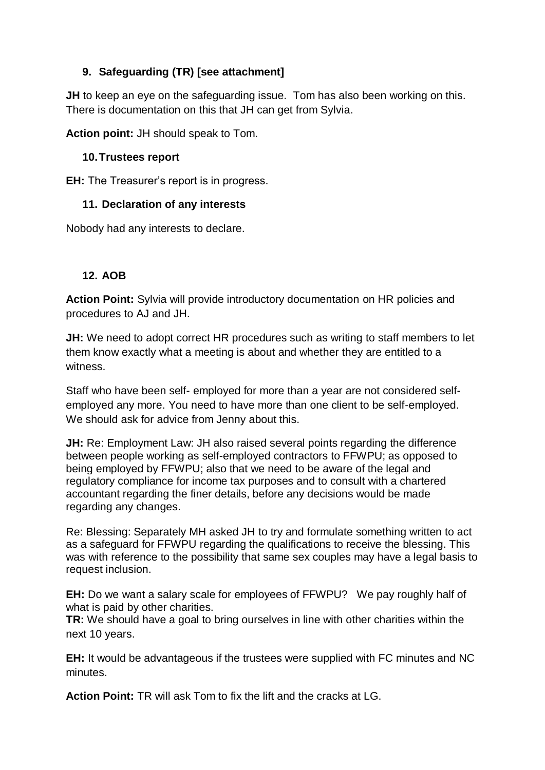## **9. Safeguarding (TR) [see attachment]**

**JH** to keep an eye on the safeguarding issue. Tom has also been working on this. There is documentation on this that JH can get from Sylvia.

**Action point:** JH should speak to Tom.

#### **10.Trustees report**

**EH:** The Treasurer's report is in progress.

#### **11. Declaration of any interests**

Nobody had any interests to declare.

#### **12. AOB**

**Action Point:** Sylvia will provide introductory documentation on HR policies and procedures to AJ and JH.

**JH:** We need to adopt correct HR procedures such as writing to staff members to let them know exactly what a meeting is about and whether they are entitled to a witness.

Staff who have been self- employed for more than a year are not considered selfemployed any more. You need to have more than one client to be self-employed. We should ask for advice from Jenny about this.

**JH:** Re: Employment Law: JH also raised several points regarding the difference between people working as self-employed contractors to FFWPU; as opposed to being employed by FFWPU; also that we need to be aware of the legal and regulatory compliance for income tax purposes and to consult with a chartered accountant regarding the finer details, before any decisions would be made regarding any changes.

Re: Blessing: Separately MH asked JH to try and formulate something written to act as a safeguard for FFWPU regarding the qualifications to receive the blessing. This was with reference to the possibility that same sex couples may have a legal basis to request inclusion.

**EH:** Do we want a salary scale for employees of FFWPU? We pay roughly half of what is paid by other charities.

**TR:** We should have a goal to bring ourselves in line with other charities within the next 10 years.

**EH:** It would be advantageous if the trustees were supplied with FC minutes and NC minutes.

**Action Point:** TR will ask Tom to fix the lift and the cracks at LG.